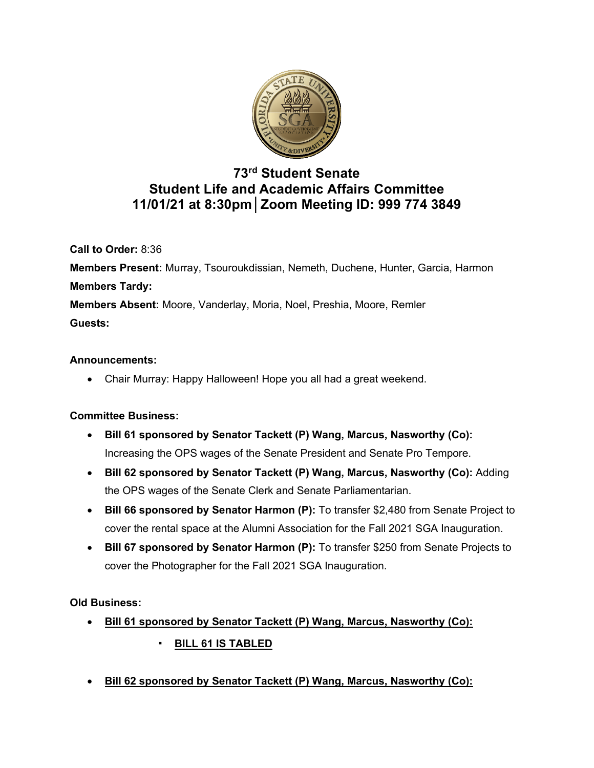

# **73rd Student Senate Student Life and Academic Affairs Committee 11/01/21 at 8:30pm│Zoom Meeting ID: 999 774 3849**

**Call to Order:** 8:36 **Members Present:** Murray, Tsouroukdissian, Nemeth, Duchene, Hunter, Garcia, Harmon **Members Tardy: Members Absent:** Moore, Vanderlay, Moria, Noel, Preshia, Moore, Remler **Guests:**

#### **Announcements:**

• Chair Murray: Happy Halloween! Hope you all had a great weekend.

#### **Committee Business:**

- **Bill 61 sponsored by Senator Tackett (P) Wang, Marcus, Nasworthy (Co):** Increasing the OPS wages of the Senate President and Senate Pro Tempore.
- **Bill 62 sponsored by Senator Tackett (P) Wang, Marcus, Nasworthy (Co):** Adding the OPS wages of the Senate Clerk and Senate Parliamentarian.
- **Bill 66 sponsored by Senator Harmon (P):** To transfer \$2,480 from Senate Project to cover the rental space at the Alumni Association for the Fall 2021 SGA Inauguration.
- **Bill 67 sponsored by Senator Harmon (P):** To transfer \$250 from Senate Projects to cover the Photographer for the Fall 2021 SGA Inauguration.

**Old Business:**

- **Bill 61 sponsored by Senator Tackett (P) Wang, Marcus, Nasworthy (Co):**
	- **BILL 61 IS TABLED**
- **Bill 62 sponsored by Senator Tackett (P) Wang, Marcus, Nasworthy (Co):**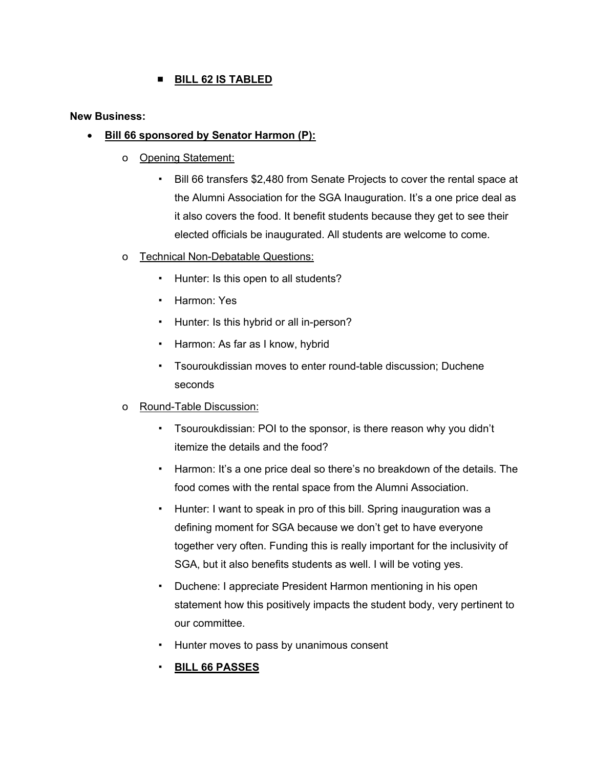## ■ **BILL 62 IS TABLED**

**New Business:**

#### • **Bill 66 sponsored by Senator Harmon (P):**

- o Opening Statement:
	- Bill 66 transfers \$2,480 from Senate Projects to cover the rental space at the Alumni Association for the SGA Inauguration. It's a one price deal as it also covers the food. It benefit students because they get to see their elected officials be inaugurated. All students are welcome to come.
- o Technical Non-Debatable Questions:
	- Hunter: Is this open to all students?
	- Harmon: Yes
	- Hunter: Is this hybrid or all in-person?
	- Harmon: As far as I know, hybrid
	- Tsouroukdissian moves to enter round-table discussion; Duchene seconds
- o Round-Table Discussion:
	- Tsouroukdissian: POI to the sponsor, is there reason why you didn't itemize the details and the food?
	- Harmon: It's a one price deal so there's no breakdown of the details. The food comes with the rental space from the Alumni Association.
	- Hunter: I want to speak in pro of this bill. Spring inauguration was a defining moment for SGA because we don't get to have everyone together very often. Funding this is really important for the inclusivity of SGA, but it also benefits students as well. I will be voting yes.
	- Duchene: I appreciate President Harmon mentioning in his open statement how this positively impacts the student body, very pertinent to our committee.
	- Hunter moves to pass by unanimous consent
	- **BILL 66 PASSES**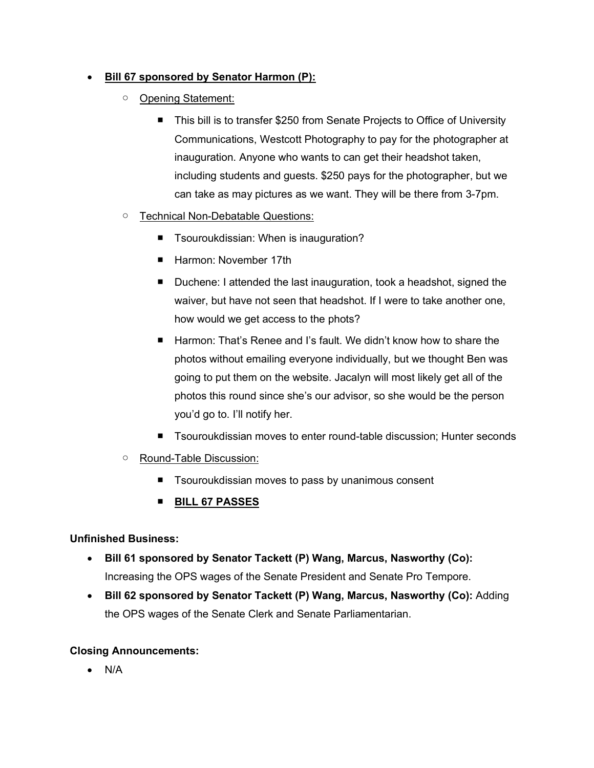### • **Bill 67 sponsored by Senator Harmon (P):**

- Opening Statement:
	- This bill is to transfer \$250 from Senate Projects to Office of University Communications, Westcott Photography to pay for the photographer at inauguration. Anyone who wants to can get their headshot taken, including students and guests. \$250 pays for the photographer, but we can take as may pictures as we want. They will be there from 3-7pm.
- Technical Non-Debatable Questions:
	- Tsouroukdissian: When is inauguration?
	- Harmon: November 17th
	- Duchene: I attended the last inauguration, took a headshot, signed the waiver, but have not seen that headshot. If I were to take another one, how would we get access to the phots?
	- Harmon: That's Renee and I's fault. We didn't know how to share the photos without emailing everyone individually, but we thought Ben was going to put them on the website. Jacalyn will most likely get all of the photos this round since she's our advisor, so she would be the person you'd go to. I'll notify her.
	- Tsouroukdissian moves to enter round-table discussion; Hunter seconds
- Round-Table Discussion:
	- Tsouroukdissian moves to pass by unanimous consent
	- **BILL 67 PASSES**

#### **Unfinished Business:**

- **Bill 61 sponsored by Senator Tackett (P) Wang, Marcus, Nasworthy (Co):** Increasing the OPS wages of the Senate President and Senate Pro Tempore.
- **Bill 62 sponsored by Senator Tackett (P) Wang, Marcus, Nasworthy (Co):** Adding the OPS wages of the Senate Clerk and Senate Parliamentarian.

# **Closing Announcements:**

• N/A